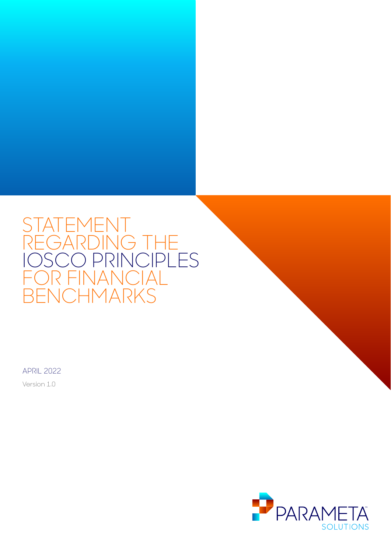# STATEMENT REGARDING THE IOSCO PRINCIPLES FOR FINANCIAL BENCHMARKS

APRIL 2022

Version 1.0

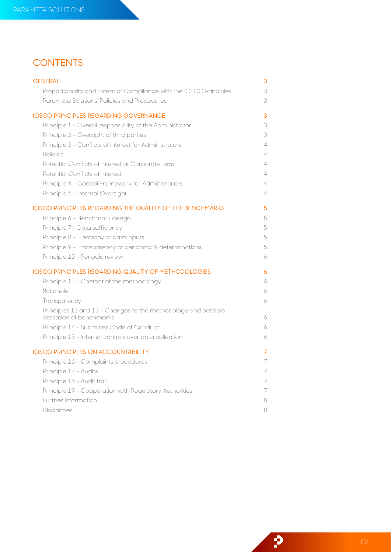# **CONTENTS**

| <b>GENERAL</b>                                                                            | 3 |
|-------------------------------------------------------------------------------------------|---|
| Proportionality and Extent of Compliance with the IOSCO Principles                        | 3 |
| Parameta Solutions' Policies and Procedures                                               | 3 |
| <b>IOSCO PRINCIPLES REGARDING GOVERNANCE</b>                                              | 3 |
| Principle 1 - Overall responsibility of the Administrator                                 | 3 |
| Principle 2 - Oversight of third parties                                                  | 3 |
| Principle 3 - Conflicts of interest for Administrators                                    | 4 |
| Policies                                                                                  | 4 |
| Potential Conflicts of Interest at Corporate Level                                        | 4 |
| Potential Conflicts of Interest                                                           | 4 |
| Principle 4 - Control Framework for Administrators                                        | 4 |
| Principle 5 - Internal Oversight                                                          | 4 |
| <b>IOSCO PRINCIPLES REGARDING THE QUALITY OF THE BENCHMARKS</b>                           | 5 |
| Principle 6 - Benchmark design                                                            | 5 |
| Principle 7 - Data sufficiency                                                            | 5 |
| Principle 8 - Hierarchy of data inputs                                                    | 5 |
| Principle 9 - Transparency of benchmark determinations                                    | 5 |
| Principle 10 - Periodic review                                                            | 6 |
| <b>IOSCO PRINCIPLES REGARDING QUALITY OF METHODOLOGIES</b>                                | 6 |
| Principle 11 - Content of the methodology                                                 | 6 |
| Rationale                                                                                 | 6 |
| Transparency                                                                              | 6 |
| Principles 12 and 13 - Changes to the methodology and possible<br>cessation of benchmarks | 6 |
| Principle 14 - Submitter Code of Conduct                                                  | 6 |
| Principle 15 - Internal controls over data collection                                     | 6 |
| <b>IOSCO PRINCIPLES ON ACCOUNTABILITY</b>                                                 | 7 |
| Principle 16 - Complaints procedures                                                      | 7 |
| Principle 17 - Audits                                                                     | 7 |
| Principle 18 - Audit trail                                                                | 7 |
| Principle 19 - Cooperation with Regulatory Authorities                                    | 7 |
| Further information                                                                       | 8 |
| Disclaimer                                                                                | 8 |

P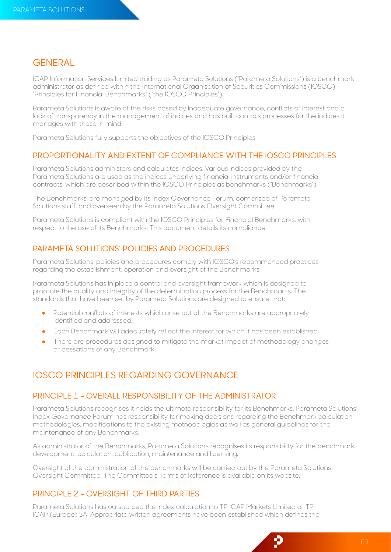# <span id="page-2-0"></span>**GENERAL**

ICAP Information Services Limited trading as Parameta Solutions ("Parameta Solutions") is a benchmark administrator as defined within the International Organisation of Securities Commissions (IOSCO) "Principles for Financial Benchmarks" ("the IOSCO Principles").

Parameta Solutions is aware of the risks posed by inadequate governance, conflicts of interest and a lack of transparency in the management of indices and has built controls processes for the indices it manages with these in mind.

Parameta Solutions fully supports the objectives of the IOSCO Principles.

#### PROPORTIONALITY AND EXTENT OF COMPLIANCE WITH THE IOSCO PRINCIPLES

Parameta Solutions administers and calculates indices. Various indices provided by the Parameta Solutions are used as the indices underlying financial instruments and/or financial contracts, which are described within the IOSCO Principles as benchmarks ("Benchmarks").

The Benchmarks, are managed by its Index Governance Forum, comprised of Parameta Solutions staff, and overseen by the Parameta Solutions Oversight Committee.

Parameta Solutions is compliant with the IOSCO Principles for Financial Benchmarks, with respect to the use of its Benchmarks. This document details its compliance.

#### PARAMETA SOLUTIONS' POLICIES AND PROCEDURES

Parameta Solutions' policies and procedures comply with IOSCO's recommended practices regarding the establishment, operation and oversight of the Benchmarks.

Parameta Solutions has in place a control and oversight framework which is designed to promote the quality and integrity of the determination process for the Benchmarks. The standards that have been set by Parameta Solutions are designed to ensure that:

- Potential conflicts of interests which arise out of the Benchmarks are appropriately identified and addressed.
- Each Benchmark will adequately reflect the interest for which it has been established.
- There are procedures designed to mitigate the market impact of methodology changes or cessations of any Benchmark.

# <span id="page-2-1"></span>IOSCO PRINCIPLES REGARDING GOVERNANCE

#### PRINCIPLE 1 - OVERALL RESPONSIBILITY OF THE ADMINISTRATOR

Parameta Solutions recognises it holds the ultimate responsibility for its Benchmarks. Parameta Solutions' Index Governance Forum has responsibility for making decisions regarding the Benchmark calculation methodologies, modifications to the existing methodologies as well as general guidelines for the maintenance of any Benchmarks.

As administrator of the Benchmarks, Parameta Solutions recognises its responsibility for the benchmark development, calculation, publication, maintenance and licensing.

Oversight of the administration of the benchmarks will be carried out by the Parameta Solutions Oversight Committee. The Committee's Terms of Reference is available on its website.

### PRINCIPLE 2 - OVERSIGHT OF THIRD PARTIES

Parameta Solutions has outsourced the index calculation to TP ICAP Markets Limited or TP ICAP (Europe) SA. Appropriate written agreements have been established which defines the

p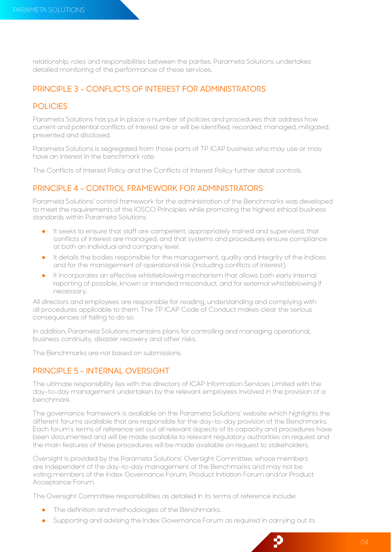relationship, roles and responsibilities between the parties. Parameta Solutions undertakes detailed monitoring of the performance of these services.

## PRINCIPLE 3 - CONFLICTS OF INTEREST FOR ADMINISTRATORS

#### POLICIES

Parameta Solutions has put in place a number of policies and procedures that address how current and potential conflicts of interest are or will be identified, recorded, managed, mitigated, prevented and disclosed.

Parameta Solutions is segregated from those parts of TP ICAP business who may use or may have an interest in the benchmark rate.

The Conflicts of Interest Policy and the Conflicts of Interest Policy further detail controls.

#### PRINCIPLE 4 - CONTROL FRAMEWORK FOR ADMINISTRATORS

Parameta Solutions' control framework for the administration of the Benchmarks was developed to meet the requirements of the IOSCO Principles while promoting the highest ethical business standards within Parameta Solutions.

- It seeks to ensure that staff are competent, appropriately trained and supervised, that conflicts of interest are managed, and that systems and procedures ensure compliance at both an individual and company level.
- It details the bodies responsible for the management, quality and integrity of the indices and for the management of operational risk (including conflicts of interest).
- It incorporates an effective whistleblowing mechanism that allows both early internal reporting of possible, known or intended misconduct, and for external whistleblowing if necessary.

All directors and employees are responsible for reading, understanding and complying with all procedures applicable to them. The TP ICAP Code of Conduct makes clear the serious consequences of failing to do so.

In addition, Parameta Solutions maintains plans for controlling and managing operational, business continuity, disaster recovery and other risks.

The Benchmarks are not based on submissions.

## PRINCIPLE 5 - INTERNAL OVERSIGHT

The ultimate responsibility lies with the directors of ICAP Information Services Limited with the day-to-day management undertaken by the relevant employees involved in the provision of a benchmark.

The governance framework is available on the Parameta Solutions' website which highlights the different forums available that are responsible for the day-to-day provision of the Benchmarks. Each forum's terms of reference set out all relevant aspects of its capacity and procedures have been documented and will be made available to relevant regulatory authorities on request and the main features of these procedures will be made available on request to stakeholders.

Oversight is provided by the Parameta Solutions' Oversight Committee, whose members are independent of the day-to-day management of the Benchmarks and may not be voting members of the Index Governance Forum, Product Initiation Forum and/or Product Acceptance Forum.

The Oversight Committee responsibilities as detailed in its terms of reference include:

- The definition and methodologies of the Benchmarks.
- Supporting and advising the Index Governance Forum as required in carrying out its

Ð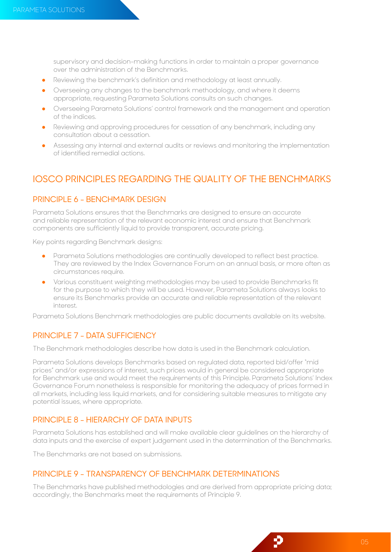supervisory and decision-making functions in order to maintain a proper governance over the administration of the Benchmarks.

- Reviewing the benchmark's definition and methodology at least annually.
- Overseeing any changes to the benchmark methodology, and where it deems appropriate, requesting Parameta Solutions consults on such changes.
- Overseeing Parameta Solutions' control framework and the management and operation of the indices.
- Reviewing and approving procedures for cessation of any benchmark, including any consultation about a cessation.
- Assessing any internal and external audits or reviews and monitoring the implementation of identified remedial actions.

# <span id="page-4-0"></span>IOSCO PRINCIPLES REGARDING THE QUALITY OF THE BENCHMARKS

## PRINCIPLE 6 - BENCHMARK DESIGN

Parameta Solutions ensures that the Benchmarks are designed to ensure an accurate and reliable representation of the relevant economic interest and ensure that Benchmark components are sufficiently liquid to provide transparent, accurate pricing.

Key points regarding Benchmark designs:

- Parameta Solutions methodologies are continually developed to reflect best practice. They are reviewed by the Index Governance Forum on an annual basis, or more often as circumstances require.
- Various constituent weighting methodologies may be used to provide Benchmarks fit for the purpose to which they will be used. However, Parameta Solutions always looks to ensure its Benchmarks provide an accurate and reliable representation of the relevant interest.

Parameta Solutions Benchmark methodologies are public documents available on its website.

## PRINCIPLE 7 - DATA SUFFICIENCY

The Benchmark methodologies describe how data is used in the Benchmark calculation.

Parameta Solutions develops Benchmarks based on regulated data, reported bid/offer "mid prices" and/or expressions of interest, such prices would in general be considered appropriate for Benchmark use and would meet the requirements of this Principle. Parameta Solutions' Index Governance Forum nonetheless is responsible for monitoring the adequacy of prices formed in all markets, including less liquid markets, and for considering suitable measures to mitigate any potential issues, where appropriate.

#### PRINCIPLE 8 - HIERARCHY OF DATA INPUTS

Parameta Solutions has established and will make available clear guidelines on the hierarchy of data inputs and the exercise of expert judgement used in the determination of the Benchmarks.

The Benchmarks are not based on submissions.

#### PRINCIPLE 9 - TRANSPARENCY OF BENCHMARK DETERMINATIONS

The Benchmarks have published methodologies and are derived from appropriate pricing data; accordingly, the Benchmarks meet the requirements of Principle 9.

Ð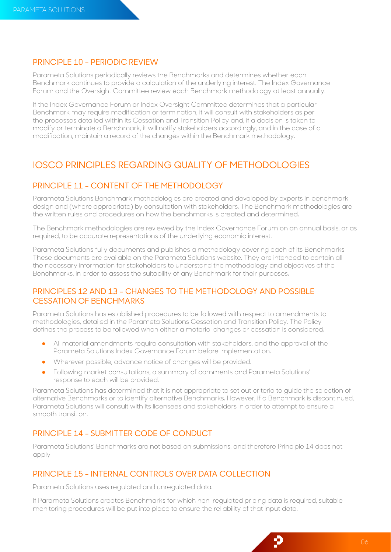## PRINCIPLE 10 - PERIODIC REVIEW

Parameta Solutions periodically reviews the Benchmarks and determines whether each Benchmark continues to provide a calculation of the underlying interest. The Index Governance Forum and the Oversight Committee review each Benchmark methodology at least annually.

If the Index Governance Forum or Index Oversight Committee determines that a particular Benchmark may require modification or termination, it will consult with stakeholders as per the processes detailed within its Cessation and Transition Policy and, if a decision is taken to modify or terminate a Benchmark, it will notify stakeholders accordingly, and in the case of a modification, maintain a record of the changes within the Benchmark methodology.

# <span id="page-5-0"></span>IOSCO PRINCIPLES REGARDING QUALITY OF METHODOLOGIES

# PRINCIPLE 11 - CONTENT OF THE METHODOLOGY

Parameta Solutions Benchmark methodologies are created and developed by experts in benchmark design and (where appropriate) by consultation with stakeholders. The Benchmark methodologies are the written rules and procedures on how the benchmarks is created and determined.

The Benchmark methodologies are reviewed by the Index Governance Forum on an annual basis, or as required, to be accurate representations of the underlying economic interest.

Parameta Solutions fully documents and publishes a methodology covering each of its Benchmarks. These documents are available on the Parameta Solutions website. They are intended to contain all the necessary information for stakeholders to understand the methodology and objectives of the Benchmarks, in order to assess the suitability of any Benchmark for their purposes.

# PRINCIPLES 12 AND 13 - CHANGES TO THE METHODOLOGY AND POSSIBLE CESSATION OF BENCHMARKS

Parameta Solutions has established procedures to be followed with respect to amendments to methodologies, detailed in the Parameta Solutions Cessation and Transition Policy. The Policy defines the process to be followed when either a material changes or cessation is considered.

- All material amendments require consultation with stakeholders, and the approval of the Parameta Solutions Index Governance Forum before implementation.
- Wherever possible, advance notice of changes will be provided.
- Following market consultations, a summary of comments and Parameta Solutions' response to each will be provided.

Parameta Solutions has determined that it is not appropriate to set out criteria to guide the selection of alternative Benchmarks or to identify alternative Benchmarks. However, if a Benchmark is discontinued, Parameta Solutions will consult with its licensees and stakeholders in order to attempt to ensure a smooth transition.

# PRINCIPLE 14 - SUBMITTER CODE OF CONDUCT

Parameta Solutions' Benchmarks are not based on submissions, and therefore Principle 14 does not apply.

# PRINCIPLE 15 - INTERNAL CONTROLS OVER DATA COLLECTION

Parameta Solutions uses regulated and unregulated data.

If Parameta Solutions creates Benchmarks for which non-regulated pricing data is required, suitable monitoring procedures will be put into place to ensure the reliability of that input data.

p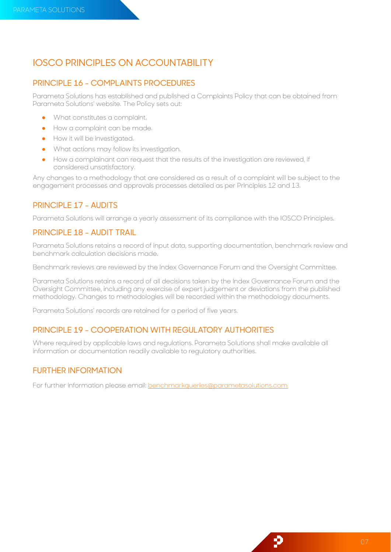# <span id="page-6-0"></span>IOSCO PRINCIPLES ON ACCOUNTABILITY

#### PRINCIPLE 16 - COMPLAINTS PROCEDURES

Parameta Solutions has established and published a Complaints Policy that can be obtained from Parameta Solutions' website. The Policy sets out:

- What constitutes a complaint.
- How a complaint can be made.
- **•** How it will be investigated.
- What actions may follow its investigation.
- How a complainant can request that the results of the investigation are reviewed, if considered unsatisfactory.

Any changes to a methodology that are considered as a result of a complaint will be subject to the engagement processes and approvals processes detailed as per Principles 12 and 13.

## PRINCIPLE 17 - AUDITS

Parameta Solutions will arrange a yearly assessment of its compliance with the IOSCO Principles.

## PRINCIPLE 18 - AUDIT TRAIL

Parameta Solutions retains a record of input data, supporting documentation, benchmark review and benchmark calculation decisions made.

Benchmark reviews are reviewed by the Index Governance Forum and the Oversight Committee.

Parameta Solutions retains a record of all decisions taken by the Index Governance Forum and the Oversight Committee, including any exercise of expert judgement or deviations from the published methodology. Changes to methodologies will be recorded within the methodology documents.

Parameta Solutions' records are retained for a period of five years.

# PRINCIPLE 19 - COOPERATION WITH REGULATORY AUTHORITIES

Where required by applicable laws and regulations. Parameta Solutions shall make available all information or documentation readily available to regulatory authorities.

#### FURTHER INFORMATION

For further information please email: **benchmarkqueries@parametasolutions.com** 

Đ